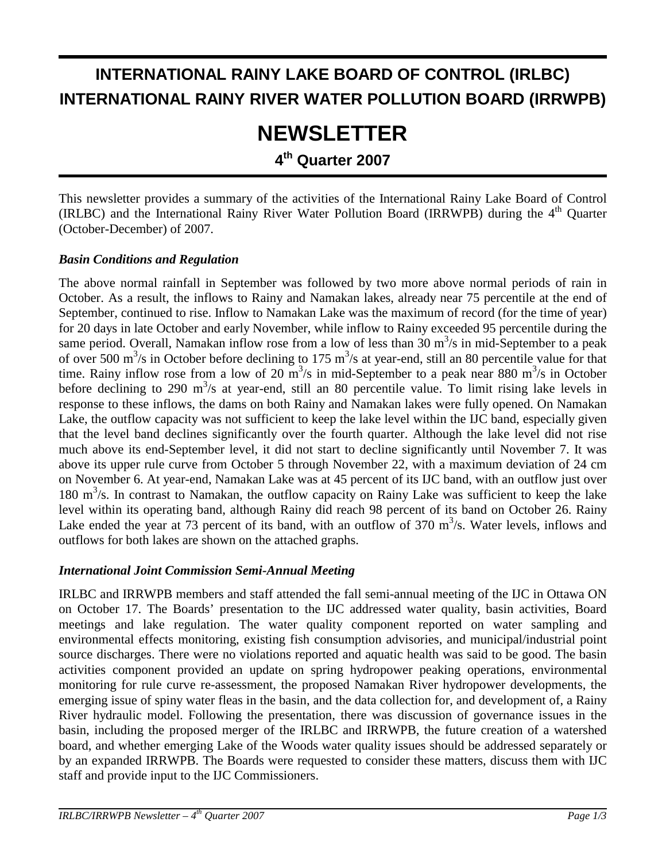# **INTERNATIONAL RAINY LAKE BOARD OF CONTROL (IRLBC) INTERNATIONAL RAINY RIVER WATER POLLUTION BOARD (IRRWPB)**

# **NEWSLETTER**

**4th Quarter 2007**

This newsletter provides a summary of the activities of the International Rainy Lake Board of Control (IRLBC) and the International Rainy River Water Pollution Board (IRRWPB) during the 4<sup>th</sup> Ouarter (October-December) of 2007.

## *Basin Conditions and Regulation*

The above normal rainfall in September was followed by two more above normal periods of rain in October. As a result, the inflows to Rainy and Namakan lakes, already near 75 percentile at the end of September, continued to rise. Inflow to Namakan Lake was the maximum of record (for the time of year) for 20 days in late October and early November, while inflow to Rainy exceeded 95 percentile during the same period. Overall, Namakan inflow rose from a low of less than  $30 \text{ m}^3/\text{s}$  in mid-September to a peak of over 500  $\text{m}^3$ /s in October before declining to 175  $\text{m}^3$ /s at year-end, still an 80 percentile value for that time. Rainy inflow rose from a low of 20  $\text{m}^3\text{/s}$  in mid-September to a peak near 880  $\text{m}^3\text{/s}$  in October before declining to 290  $m^3/s$  at year-end, still an 80 percentile value. To limit rising lake levels in response to these inflows, the dams on both Rainy and Namakan lakes were fully opened. On Namakan Lake, the outflow capacity was not sufficient to keep the lake level within the IJC band, especially given that the level band declines significantly over the fourth quarter. Although the lake level did not rise much above its end-September level, it did not start to decline significantly until November 7. It was above its upper rule curve from October 5 through November 22, with a maximum deviation of 24 cm on November 6. At year-end, Namakan Lake was at 45 percent of its IJC band, with an outflow just over 180 m<sup>3</sup>/s. In contrast to Namakan, the outflow capacity on Rainy Lake was sufficient to keep the lake level within its operating band, although Rainy did reach 98 percent of its band on October 26. Rainy Lake ended the year at 73 percent of its band, with an outflow of 370  $m<sup>3</sup>/s$ . Water levels, inflows and outflows for both lakes are shown on the attached graphs.

# *International Joint Commission Semi-Annual Meeting*

IRLBC and IRRWPB members and staff attended the fall semi-annual meeting of the IJC in Ottawa ON on October 17. The Boards' presentation to the IJC addressed water quality, basin activities, Board meetings and lake regulation. The water quality component reported on water sampling and environmental effects monitoring, existing fish consumption advisories, and municipal/industrial point source discharges. There were no violations reported and aquatic health was said to be good. The basin activities component provided an update on spring hydropower peaking operations, environmental monitoring for rule curve re-assessment, the proposed Namakan River hydropower developments, the emerging issue of spiny water fleas in the basin, and the data collection for, and development of, a Rainy River hydraulic model. Following the presentation, there was discussion of governance issues in the basin, including the proposed merger of the IRLBC and IRRWPB, the future creation of a watershed board, and whether emerging Lake of the Woods water quality issues should be addressed separately or by an expanded IRRWPB. The Boards were requested to consider these matters, discuss them with IJC staff and provide input to the IJC Commissioners.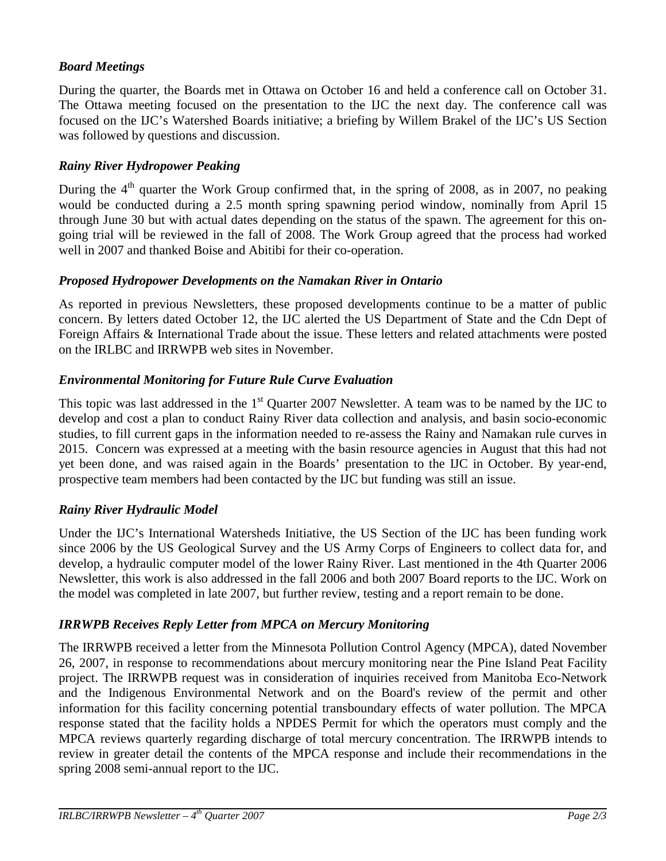# *Board Meetings*

During the quarter, the Boards met in Ottawa on October 16 and held a conference call on October 31. The Ottawa meeting focused on the presentation to the IJC the next day. The conference call was focused on the IJC's Watershed Boards initiative; a briefing by Willem Brakel of the IJC's US Section was followed by questions and discussion.

## *Rainy River Hydropower Peaking*

During the  $4<sup>th</sup>$  quarter the Work Group confirmed that, in the spring of 2008, as in 2007, no peaking would be conducted during a 2.5 month spring spawning period window, nominally from April 15 through June 30 but with actual dates depending on the status of the spawn. The agreement for this ongoing trial will be reviewed in the fall of 2008. The Work Group agreed that the process had worked well in 2007 and thanked Boise and Abitibi for their co-operation.

#### *Proposed Hydropower Developments on the Namakan River in Ontario*

As reported in previous Newsletters, these proposed developments continue to be a matter of public concern. By letters dated October 12, the IJC alerted the US Department of State and the Cdn Dept of Foreign Affairs & International Trade about the issue. These letters and related attachments were posted on the IRLBC and IRRWPB web sites in November.

#### *Environmental Monitoring for Future Rule Curve Evaluation*

This topic was last addressed in the 1<sup>st</sup> Quarter 2007 Newsletter. A team was to be named by the IJC to develop and cost a plan to conduct Rainy River data collection and analysis, and basin socio-economic studies, to fill current gaps in the information needed to re-assess the Rainy and Namakan rule curves in 2015. Concern was expressed at a meeting with the basin resource agencies in August that this had not yet been done, and was raised again in the Boards' presentation to the IJC in October. By year-end, prospective team members had been contacted by the IJC but funding was still an issue.

#### *Rainy River Hydraulic Model*

Under the IJC's International Watersheds Initiative, the US Section of the IJC has been funding work since 2006 by the US Geological Survey and the US Army Corps of Engineers to collect data for, and develop, a hydraulic computer model of the lower Rainy River. Last mentioned in the 4th Quarter 2006 Newsletter, this work is also addressed in the fall 2006 and both 2007 Board reports to the IJC. Work on the model was completed in late 2007, but further review, testing and a report remain to be done.

#### *IRRWPB Receives Reply Letter from MPCA on Mercury Monitoring*

The IRRWPB received a letter from the Minnesota Pollution Control Agency (MPCA), dated November 26, 2007, in response to recommendations about mercury monitoring near the Pine Island Peat Facility project. The IRRWPB request was in consideration of inquiries received from Manitoba Eco-Network and the Indigenous Environmental Network and on the Board's review of the permit and other information for this facility concerning potential transboundary effects of water pollution. The MPCA response stated that the facility holds a NPDES Permit for which the operators must comply and the MPCA reviews quarterly regarding discharge of total mercury concentration. The IRRWPB intends to review in greater detail the contents of the MPCA response and include their recommendations in the spring 2008 semi-annual report to the IJC.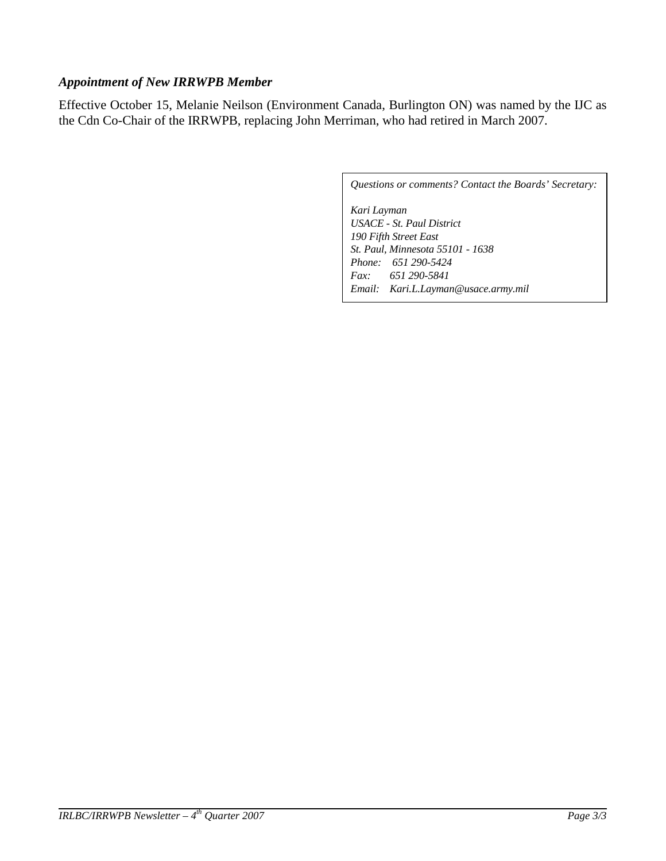## *Appointment of New IRRWPB Member*

Effective October 15, Melanie Neilson (Environment Canada, Burlington ON) was named by the IJC as the Cdn Co-Chair of the IRRWPB, replacing John Merriman, who had retired in March 2007.

*Questions or comments? Contact the Boards' Secretary:* 

*Kari Layman USACE - St. Paul District 190 Fifth Street East St. Paul, Minnesota 55101 - 1638 Phone: 651 290-5424 Fax: 651 290-5841 Email: Kari.L.Layman@usace.army.mil*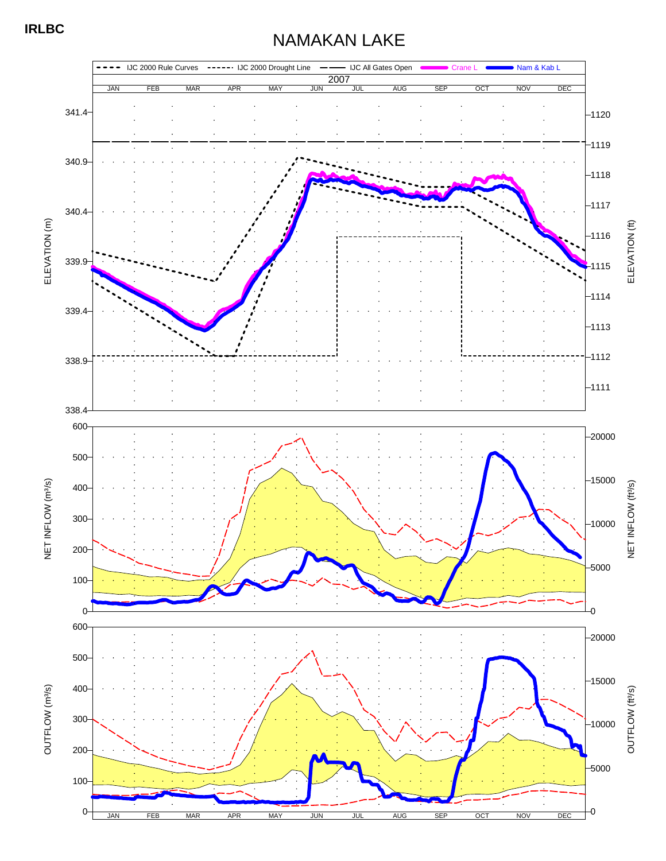# NAMAKAN LAKE